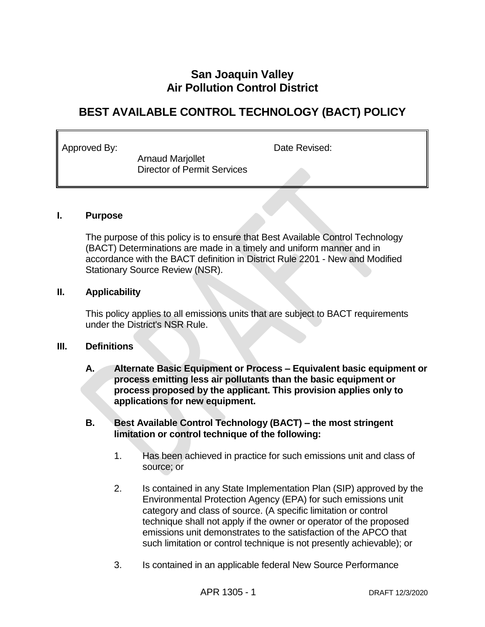# **San Joaquin Valley Air Pollution Control District**

# **BEST AVAILABLE CONTROL TECHNOLOGY (BACT) POLICY**

Approved By: Same Controller Controller and Date Revised:

 Arnaud Marjollet Director of Permit Services

#### **I. Purpose**

The purpose of this policy is to ensure that Best Available Control Technology (BACT) Determinations are made in a timely and uniform manner and in accordance with the BACT definition in District Rule 2201 - New and Modified Stationary Source Review (NSR).

#### **II. Applicability**

This policy applies to all emissions units that are subject to BACT requirements under the District's NSR Rule.

#### **III. Definitions**

- **A. Alternate Basic Equipment or Process – Equivalent basic equipment or process emitting less air pollutants than the basic equipment or process proposed by the applicant. This provision applies only to applications for new equipment.**
- **B. Best Available Control Technology (BACT) – the most stringent limitation or control technique of the following:**
	- 1. Has been achieved in practice for such emissions unit and class of source; or
	- 2. Is contained in any State Implementation Plan (SIP) approved by the Environmental Protection Agency (EPA) for such emissions unit category and class of source. (A specific limitation or control technique shall not apply if the owner or operator of the proposed emissions unit demonstrates to the satisfaction of the APCO that such limitation or control technique is not presently achievable); or
	- 3. Is contained in an applicable federal New Source Performance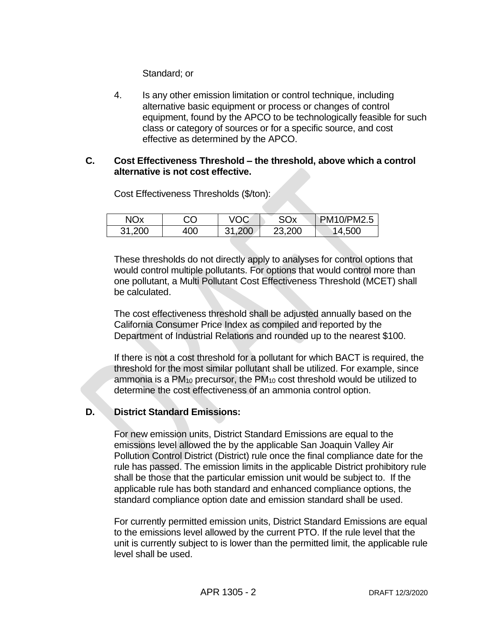Standard; or

4. Is any other emission limitation or control technique, including alternative basic equipment or process or changes of control equipment, found by the APCO to be technologically feasible for such class or category of sources or for a specific source, and cost effective as determined by the APCO.

#### **C. Cost Effectiveness Threshold – the threshold, above which a control alternative is not cost effective.**

| NOx    | ာဝ  | <b>VOC</b> | SOx    | <b>PM10/PM2.5</b> |
|--------|-----|------------|--------|-------------------|
| 31,200 | 400 | 31.200     | 23,200 | 4,500             |

Cost Effectiveness Thresholds (\$/ton):

These thresholds do not directly apply to analyses for control options that would control multiple pollutants. For options that would control more than one pollutant, a Multi Pollutant Cost Effectiveness Threshold (MCET) shall be calculated.

The cost effectiveness threshold shall be adjusted annually based on the California Consumer Price Index as compiled and reported by the Department of Industrial Relations and rounded up to the nearest \$100.

If there is not a cost threshold for a pollutant for which BACT is required, the threshold for the most similar pollutant shall be utilized. For example, since ammonia is a PM<sup>10</sup> precursor, the PM<sup>10</sup> cost threshold would be utilized to determine the cost effectiveness of an ammonia control option.

# **D. District Standard Emissions:**

For new emission units, District Standard Emissions are equal to the emissions level allowed the by the applicable San Joaquin Valley Air Pollution Control District (District) rule once the final compliance date for the rule has passed. The emission limits in the applicable District prohibitory rule shall be those that the particular emission unit would be subject to. If the applicable rule has both standard and enhanced compliance options, the standard compliance option date and emission standard shall be used.

For currently permitted emission units, District Standard Emissions are equal to the emissions level allowed by the current PTO. If the rule level that the unit is currently subject to is lower than the permitted limit, the applicable rule level shall be used.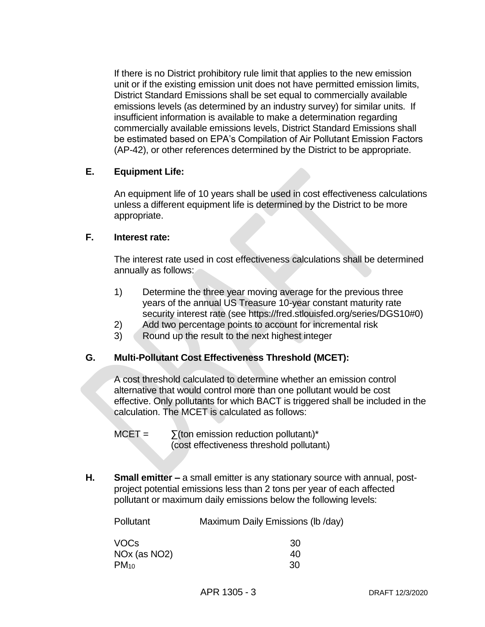If there is no District prohibitory rule limit that applies to the new emission unit or if the existing emission unit does not have permitted emission limits, District Standard Emissions shall be set equal to commercially available emissions levels (as determined by an industry survey) for similar units. If insufficient information is available to make a determination regarding commercially available emissions levels, District Standard Emissions shall be estimated based on EPA's Compilation of Air Pollutant Emission Factors (AP-42), or other references determined by the District to be appropriate.

#### **E. Equipment Life:**

An equipment life of 10 years shall be used in cost effectiveness calculations unless a different equipment life is determined by the District to be more appropriate.

#### **F. Interest rate:**

The interest rate used in cost effectiveness calculations shall be determined annually as follows:

- 1) Determine the three year moving average for the previous three years of the annual US Treasure 10-year constant maturity rate security interest rate (see [https://fred.stlouisfed.org/series/DGS10#0\)](https://fred.stlouisfed.org/series/DGS10#0)
- 2) Add two percentage points to account for incremental risk
- 3) Round up the result to the next highest integer

# **G. Multi-Pollutant Cost Effectiveness Threshold (MCET):**

A cost threshold calculated to determine whether an emission control alternative that would control more than one pollutant would be cost effective. Only pollutants for which BACT is triggered shall be included in the calculation. The MCET is calculated as follows:

 $MCET = \sum$ (ton emission reduction pollutanti)\* (cost effectiveness threshold pollutanti)

**H. Small emitter –** a small emitter is any stationary source with annual, postproject potential emissions less than 2 tons per year of each affected pollutant or maximum daily emissions below the following levels:

| Pollutant    | Maximum Daily Emissions (lb /day) |
|--------------|-----------------------------------|
| <b>VOCs</b>  | 30                                |
| NOx (as NO2) | 40                                |
| $PM_{10}$    | 30                                |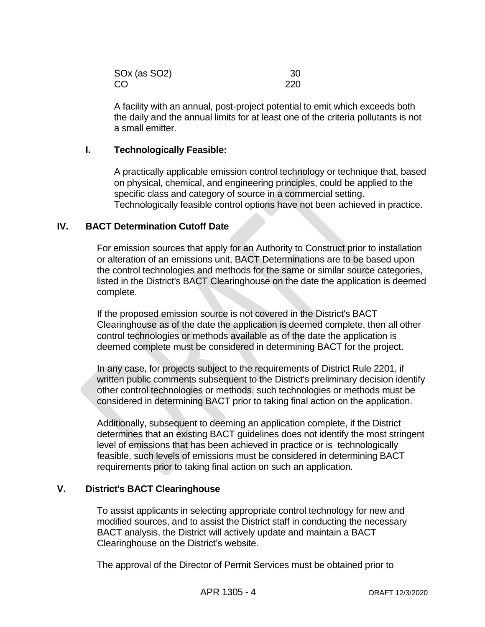| SOx (as SO2) | 30  |
|--------------|-----|
| CO           | 220 |

A facility with an annual, post-project potential to emit which exceeds both the daily and the annual limits for at least one of the criteria pollutants is not a small emitter.

#### **I. Technologically Feasible:**

A practically applicable emission control technology or technique that, based on physical, chemical, and engineering principles, could be applied to the specific class and category of source in a commercial setting. Technologically feasible control options have not been achieved in practice.

#### **IV. BACT Determination Cutoff Date**

For emission sources that apply for an Authority to Construct prior to installation or alteration of an emissions unit, BACT Determinations are to be based upon the control technologies and methods for the same or similar source categories, listed in the District's BACT Clearinghouse on the date the application is deemed complete.

If the proposed emission source is not covered in the District's BACT Clearinghouse as of the date the application is deemed complete, then all other control technologies or methods available as of the date the application is deemed complete must be considered in determining BACT for the project.

In any case, for projects subject to the requirements of District Rule 2201, if written public comments subsequent to the District's preliminary decision identify other control technologies or methods, such technologies or methods must be considered in determining BACT prior to taking final action on the application.

Additionally, subsequent to deeming an application complete, if the District determines that an existing BACT guidelines does not identify the most stringent level of emissions that has been achieved in practice or is technologically feasible, such levels of emissions must be considered in determining BACT requirements prior to taking final action on such an application.

#### **V. District's BACT Clearinghouse**

To assist applicants in selecting appropriate control technology for new and modified sources, and to assist the District staff in conducting the necessary BACT analysis, the District will actively update and maintain a BACT Clearinghouse on the District's website.

The approval of the Director of Permit Services must be obtained prior to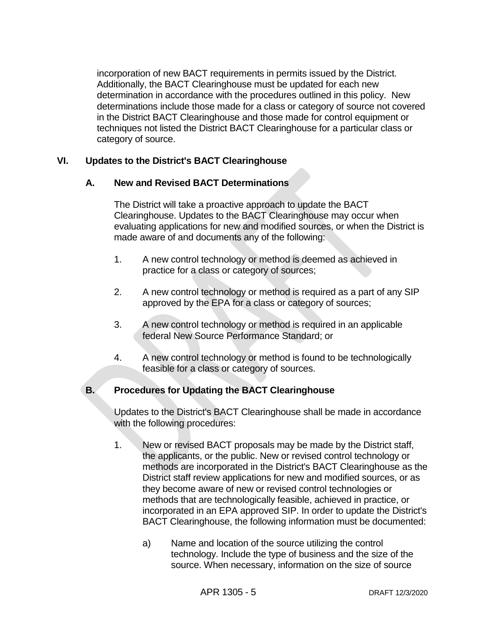incorporation of new BACT requirements in permits issued by the District. Additionally, the BACT Clearinghouse must be updated for each new determination in accordance with the procedures outlined in this policy. New determinations include those made for a class or category of source not covered in the District BACT Clearinghouse and those made for control equipment or techniques not listed the District BACT Clearinghouse for a particular class or category of source.

# **VI. Updates to the District's BACT Clearinghouse**

#### **A. New and Revised BACT Determinations**

The District will take a proactive approach to update the BACT Clearinghouse. Updates to the BACT Clearinghouse may occur when evaluating applications for new and modified sources, or when the District is made aware of and documents any of the following:

- 1. A new control technology or method is deemed as achieved in practice for a class or category of sources;
- 2. A new control technology or method is required as a part of any SIP approved by the EPA for a class or category of sources;
- 3. A new control technology or method is required in an applicable federal New Source Performance Standard; or
- 4. A new control technology or method is found to be technologically feasible for a class or category of sources.

# **B. Procedures for Updating the BACT Clearinghouse**

Updates to the District's BACT Clearinghouse shall be made in accordance with the following procedures:

- 1. New or revised BACT proposals may be made by the District staff, the applicants, or the public. New or revised control technology or methods are incorporated in the District's BACT Clearinghouse as the District staff review applications for new and modified sources, or as they become aware of new or revised control technologies or methods that are technologically feasible, achieved in practice, or incorporated in an EPA approved SIP. In order to update the District's BACT Clearinghouse, the following information must be documented:
	- a) Name and location of the source utilizing the control technology. Include the type of business and the size of the source. When necessary, information on the size of source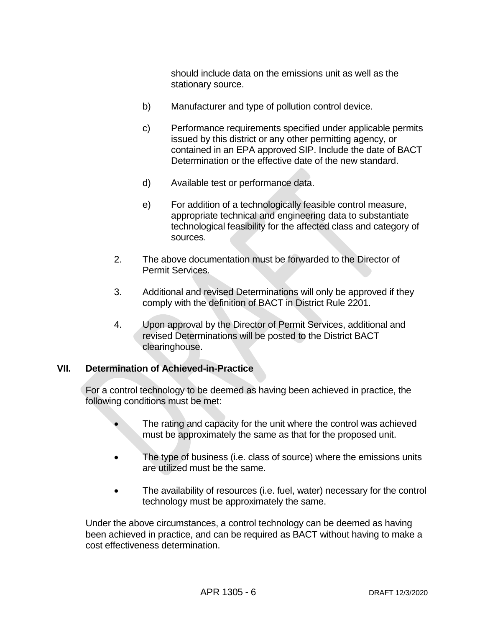should include data on the emissions unit as well as the stationary source.

- b) Manufacturer and type of pollution control device.
- c) Performance requirements specified under applicable permits issued by this district or any other permitting agency, or contained in an EPA approved SIP. Include the date of BACT Determination or the effective date of the new standard.
- d) Available test or performance data.
- e) For addition of a technologically feasible control measure, appropriate technical and engineering data to substantiate technological feasibility for the affected class and category of sources.
- 2. The above documentation must be forwarded to the Director of Permit Services.
- 3. Additional and revised Determinations will only be approved if they comply with the definition of BACT in District Rule 2201.
- 4. Upon approval by the Director of Permit Services, additional and revised Determinations will be posted to the District BACT clearinghouse.

# **VII. Determination of Achieved-in-Practice**

For a control technology to be deemed as having been achieved in practice, the following conditions must be met:

- The rating and capacity for the unit where the control was achieved must be approximately the same as that for the proposed unit.
- The type of business (i.e. class of source) where the emissions units are utilized must be the same.
- The availability of resources (i.e. fuel, water) necessary for the control technology must be approximately the same.

Under the above circumstances, a control technology can be deemed as having been achieved in practice, and can be required as BACT without having to make a cost effectiveness determination.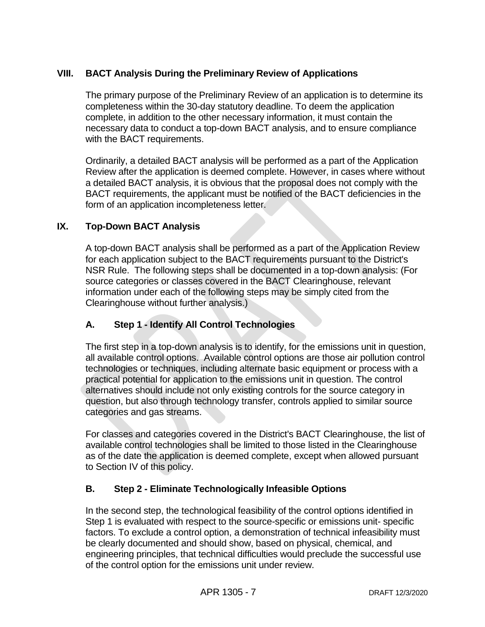# **VIII. BACT Analysis During the Preliminary Review of Applications**

The primary purpose of the Preliminary Review of an application is to determine its completeness within the 30-day statutory deadline. To deem the application complete, in addition to the other necessary information, it must contain the necessary data to conduct a top-down BACT analysis, and to ensure compliance with the BACT requirements.

Ordinarily, a detailed BACT analysis will be performed as a part of the Application Review after the application is deemed complete. However, in cases where without a detailed BACT analysis, it is obvious that the proposal does not comply with the BACT requirements, the applicant must be notified of the BACT deficiencies in the form of an application incompleteness letter.

# **IX. Top-Down BACT Analysis**

A top-down BACT analysis shall be performed as a part of the Application Review for each application subject to the BACT requirements pursuant to the District's NSR Rule. The following steps shall be documented in a top-down analysis: (For source categories or classes covered in the BACT Clearinghouse, relevant information under each of the following steps may be simply cited from the Clearinghouse without further analysis.)

# **A. Step 1 - Identify All Control Technologies**

The first step in a top-down analysis is to identify, for the emissions unit in question, all available control options. Available control options are those air pollution control technologies or techniques, including alternate basic equipment or process with a practical potential for application to the emissions unit in question. The control alternatives should include not only existing controls for the source category in question, but also through technology transfer, controls applied to similar source categories and gas streams.

For classes and categories covered in the District's BACT Clearinghouse, the list of available control technologies shall be limited to those listed in the Clearinghouse as of the date the application is deemed complete, except when allowed pursuant to Section IV of this policy.

# **B. Step 2 - Eliminate Technologically Infeasible Options**

In the second step, the technological feasibility of the control options identified in Step 1 is evaluated with respect to the source-specific or emissions unit- specific factors. To exclude a control option, a demonstration of technical infeasibility must be clearly documented and should show, based on physical, chemical, and engineering principles, that technical difficulties would preclude the successful use of the control option for the emissions unit under review.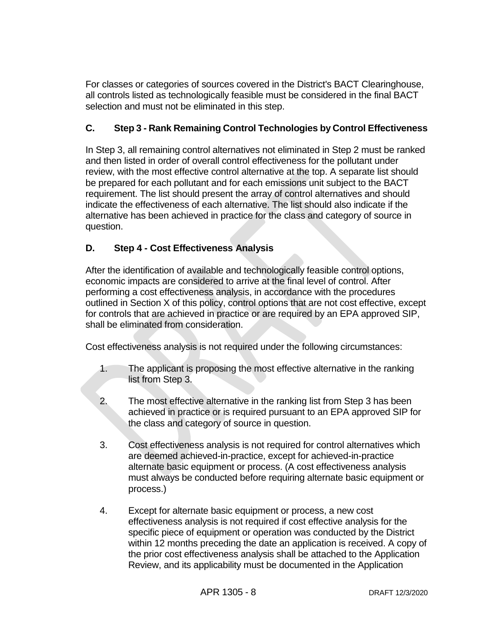For classes or categories of sources covered in the District's BACT Clearinghouse, all controls listed as technologically feasible must be considered in the final BACT selection and must not be eliminated in this step.

# **C. Step 3 - Rank Remaining Control Technologies by Control Effectiveness**

In Step 3, all remaining control alternatives not eliminated in Step 2 must be ranked and then listed in order of overall control effectiveness for the pollutant under review, with the most effective control alternative at the top. A separate list should be prepared for each pollutant and for each emissions unit subject to the BACT requirement. The list should present the array of control alternatives and should indicate the effectiveness of each alternative. The list should also indicate if the alternative has been achieved in practice for the class and category of source in question.

# **D. Step 4 - Cost Effectiveness Analysis**

After the identification of available and technologically feasible control options, economic impacts are considered to arrive at the final level of control. After performing a cost effectiveness analysis, in accordance with the procedures outlined in Section X of this policy, control options that are not cost effective, except for controls that are achieved in practice or are required by an EPA approved SIP, shall be eliminated from consideration.

Cost effectiveness analysis is not required under the following circumstances:

- 1. The applicant is proposing the most effective alternative in the ranking list from Step 3.
- 2. The most effective alternative in the ranking list from Step 3 has been achieved in practice or is required pursuant to an EPA approved SIP for the class and category of source in question.
- 3. Cost effectiveness analysis is not required for control alternatives which are deemed achieved-in-practice, except for achieved-in-practice alternate basic equipment or process. (A cost effectiveness analysis must always be conducted before requiring alternate basic equipment or process.)
- 4. Except for alternate basic equipment or process, a new cost effectiveness analysis is not required if cost effective analysis for the specific piece of equipment or operation was conducted by the District within 12 months preceding the date an application is received. A copy of the prior cost effectiveness analysis shall be attached to the Application Review, and its applicability must be documented in the Application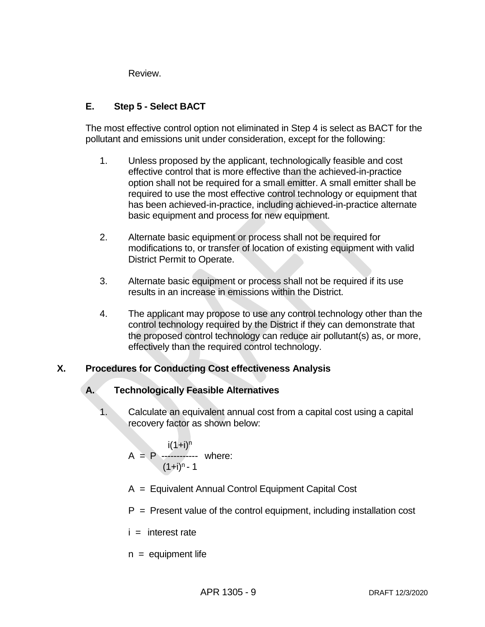Review.

# **E. Step 5 - Select BACT**

The most effective control option not eliminated in Step 4 is select as BACT for the pollutant and emissions unit under consideration, except for the following:

- 1. Unless proposed by the applicant, technologically feasible and cost effective control that is more effective than the achieved-in-practice option shall not be required for a small emitter. A small emitter shall be required to use the most effective control technology or equipment that has been achieved-in-practice, including achieved-in-practice alternate basic equipment and process for new equipment.
- 2. Alternate basic equipment or process shall not be required for modifications to, or transfer of location of existing equipment with valid District Permit to Operate.
- 3. Alternate basic equipment or process shall not be required if its use results in an increase in emissions within the District.
- 4. The applicant may propose to use any control technology other than the control technology required by the District if they can demonstrate that the proposed control technology can reduce air pollutant(s) as, or more, effectively than the required control technology.

# **X. Procedures for Conducting Cost effectiveness Analysis**

# **A. Technologically Feasible Alternatives**

1. Calculate an equivalent annual cost from a capital cost using a capital recovery factor as shown below:

$$
A = P
$$
  
\n
$$
P
$$
  
\n
$$
(1+i)^n
$$
  
\n
$$
(1+i)^n - 1
$$
  
\nwhere:

- A = Equivalent Annual Control Equipment Capital Cost
- $P =$  Present value of the control equipment, including installation cost
- $i =$  interest rate
- $n =$  equipment life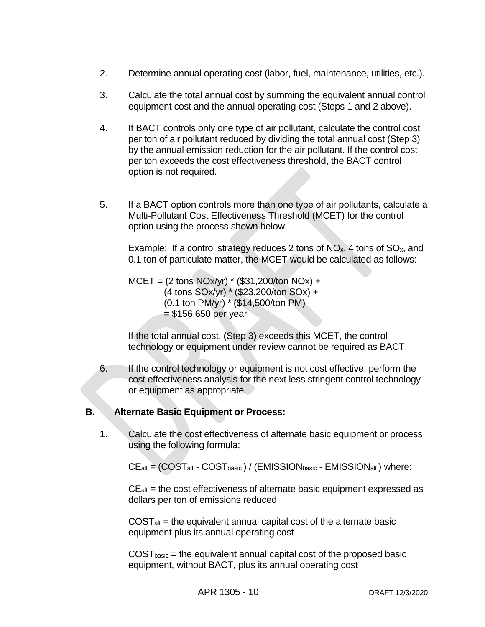- 2. Determine annual operating cost (labor, fuel, maintenance, utilities, etc.).
- 3. Calculate the total annual cost by summing the equivalent annual control equipment cost and the annual operating cost (Steps 1 and 2 above).
- 4. If BACT controls only one type of air pollutant, calculate the control cost per ton of air pollutant reduced by dividing the total annual cost (Step 3) by the annual emission reduction for the air pollutant. If the control cost per ton exceeds the cost effectiveness threshold, the BACT control option is not required.
- 5. If a BACT option controls more than one type of air pollutants, calculate a Multi-Pollutant Cost Effectiveness Threshold (MCET) for the control option using the process shown below.

Example: If a control strategy reduces 2 tons of  $NO<sub>x</sub>$ , 4 tons of  $SO<sub>x</sub>$ , and 0.1 ton of particulate matter, the MCET would be calculated as follows:

 $MCET = (2 \text{ tons } NOx/yr) * (\$31,200/ton NOx) +$ (4 tons SOx/yr) \* (\$23,200/ton SOx) + (0.1 ton PM/yr) \* (\$14,500/ton PM)  $=$  \$156,650 per year

If the total annual cost, (Step 3) exceeds this MCET, the control technology or equipment under review cannot be required as BACT.

6. If the control technology or equipment is not cost effective, perform the cost effectiveness analysis for the next less stringent control technology or equipment as appropriate.

# **B. Alternate Basic Equipment or Process:**

1. Calculate the cost effectiveness of alternate basic equipment or process using the following formula:

 $CE_{alt} = (COST_{alt} - COST_{basic}) / (EMISSION_{basic} - EMISSION_{alt})$  where:

 $CE<sub>alt</sub>$  = the cost effectiveness of alternate basic equipment expressed as dollars per ton of emissions reduced

 $COST<sub>alt</sub>$  = the equivalent annual capital cost of the alternate basic equipment plus its annual operating cost

 $COST<sub>basic</sub>$  = the equivalent annual capital cost of the proposed basic equipment, without BACT, plus its annual operating cost